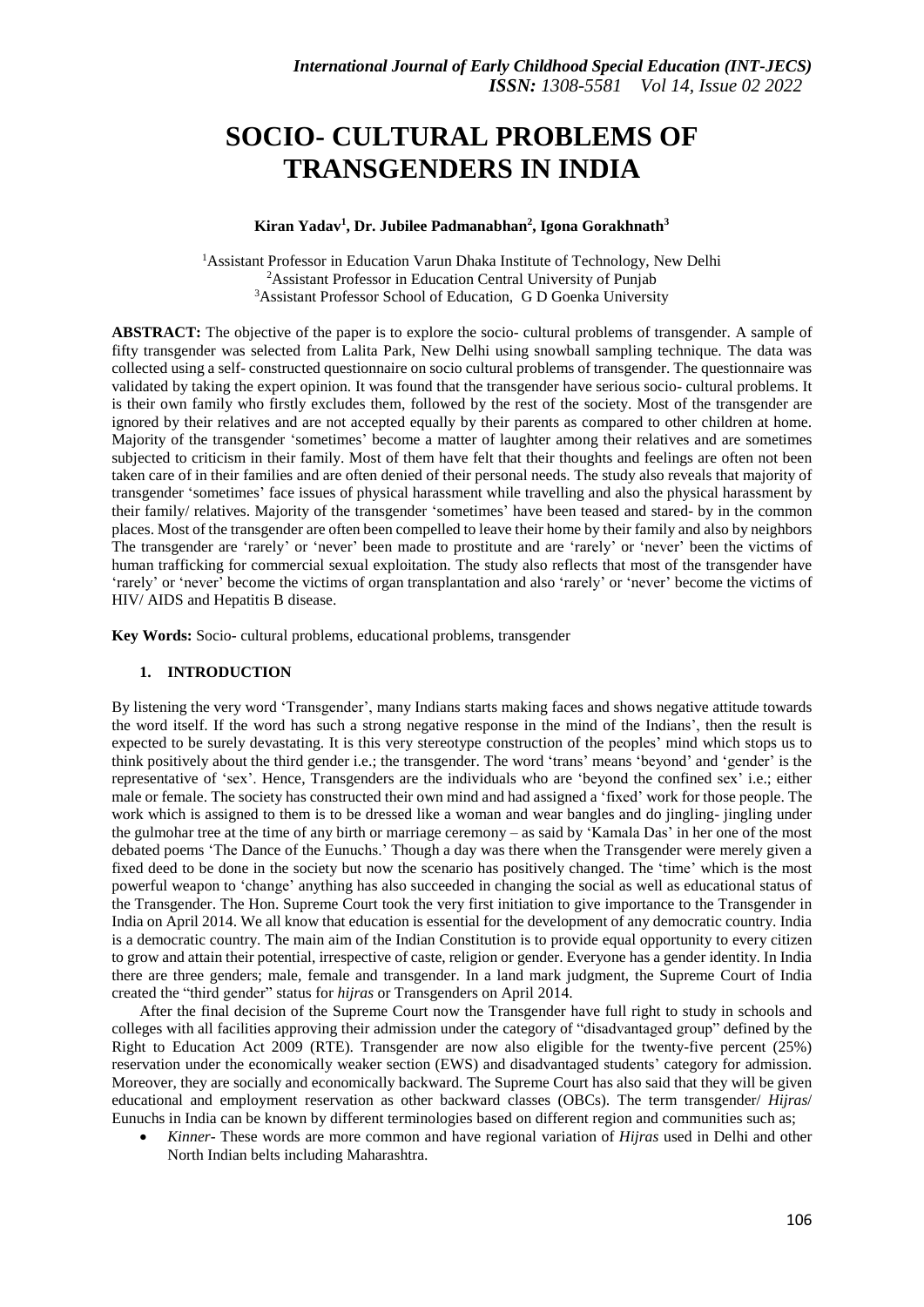# **SOCIO- CULTURAL PROBLEMS OF TRANSGENDERS IN INDIA**

## **Kiran Yadav 1 , Dr. Jubilee Padmanabhan<sup>2</sup> , Igona Gorakhnath<sup>3</sup>**

<sup>1</sup>Assistant Professor in Education Varun Dhaka Institute of Technology, New Delhi <sup>2</sup>Assistant Professor in Education Central University of Punjab <sup>3</sup>Assistant Professor School of Education, G D Goenka University

**ABSTRACT:** The objective of the paper is to explore the socio- cultural problems of transgender. A sample of fifty transgender was selected from Lalita Park, New Delhi using snowball sampling technique. The data was collected using a self- constructed questionnaire on socio cultural problems of transgender. The questionnaire was validated by taking the expert opinion. It was found that the transgender have serious socio- cultural problems. It is their own family who firstly excludes them, followed by the rest of the society. Most of the transgender are ignored by their relatives and are not accepted equally by their parents as compared to other children at home. Majority of the transgender 'sometimes' become a matter of laughter among their relatives and are sometimes subjected to criticism in their family. Most of them have felt that their thoughts and feelings are often not been taken care of in their families and are often denied of their personal needs. The study also reveals that majority of transgender 'sometimes' face issues of physical harassment while travelling and also the physical harassment by their family/ relatives. Majority of the transgender 'sometimes' have been teased and stared- by in the common places. Most of the transgender are often been compelled to leave their home by their family and also by neighbors The transgender are 'rarely' or 'never' been made to prostitute and are 'rarely' or 'never' been the victims of human trafficking for commercial sexual exploitation. The study also reflects that most of the transgender have 'rarely' or 'never' become the victims of organ transplantation and also 'rarely' or 'never' become the victims of HIV/ AIDS and Hepatitis B disease.

**Key Words:** Socio- cultural problems, educational problems, transgender

## **1. INTRODUCTION**

By listening the very word 'Transgender', many Indians starts making faces and shows negative attitude towards the word itself. If the word has such a strong negative response in the mind of the Indians', then the result is expected to be surely devastating. It is this very stereotype construction of the peoples' mind which stops us to think positively about the third gender i.e.; the transgender. The word 'trans' means 'beyond' and 'gender' is the representative of 'sex'. Hence, Transgenders are the individuals who are 'beyond the confined sex' i.e.; either male or female. The society has constructed their own mind and had assigned a 'fixed' work for those people. The work which is assigned to them is to be dressed like a woman and wear bangles and do jingling- jingling under the gulmohar tree at the time of any birth or marriage ceremony – as said by 'Kamala Das' in her one of the most debated poems 'The Dance of the Eunuchs.' Though a day was there when the Transgender were merely given a fixed deed to be done in the society but now the scenario has positively changed. The 'time' which is the most powerful weapon to 'change' anything has also succeeded in changing the social as well as educational status of the Transgender. The Hon. Supreme Court took the very first initiation to give importance to the Transgender in India on April 2014. We all know that education is essential for the development of any democratic country. India is a democratic country. The main aim of the Indian Constitution is to provide equal opportunity to every citizen to grow and attain their potential, irrespective of caste, religion or gender. Everyone has a gender identity. In India there are three genders; male, female and transgender. In a land mark judgment, the Supreme Court of India created the "third gender" status for *hijras* or Transgenders on April 2014.

After the final decision of the Supreme Court now the Transgender have full right to study in schools and colleges with all facilities approving their admission under the category of "disadvantaged group" defined by the Right to Education Act 2009 (RTE). Transgender are now also eligible for the twenty-five percent (25%) reservation under the economically weaker section (EWS) and disadvantaged students' category for admission. Moreover, they are socially and economically backward. The Supreme Court has also said that they will be given educational and employment reservation as other backward classes (OBCs). The term transgender/ *Hijras*/ Eunuchs in India can be known by different terminologies based on different region and communities such as;

 *Kinner*- These words are more common and have regional variation of *Hijras* used in Delhi and other North Indian belts including Maharashtra.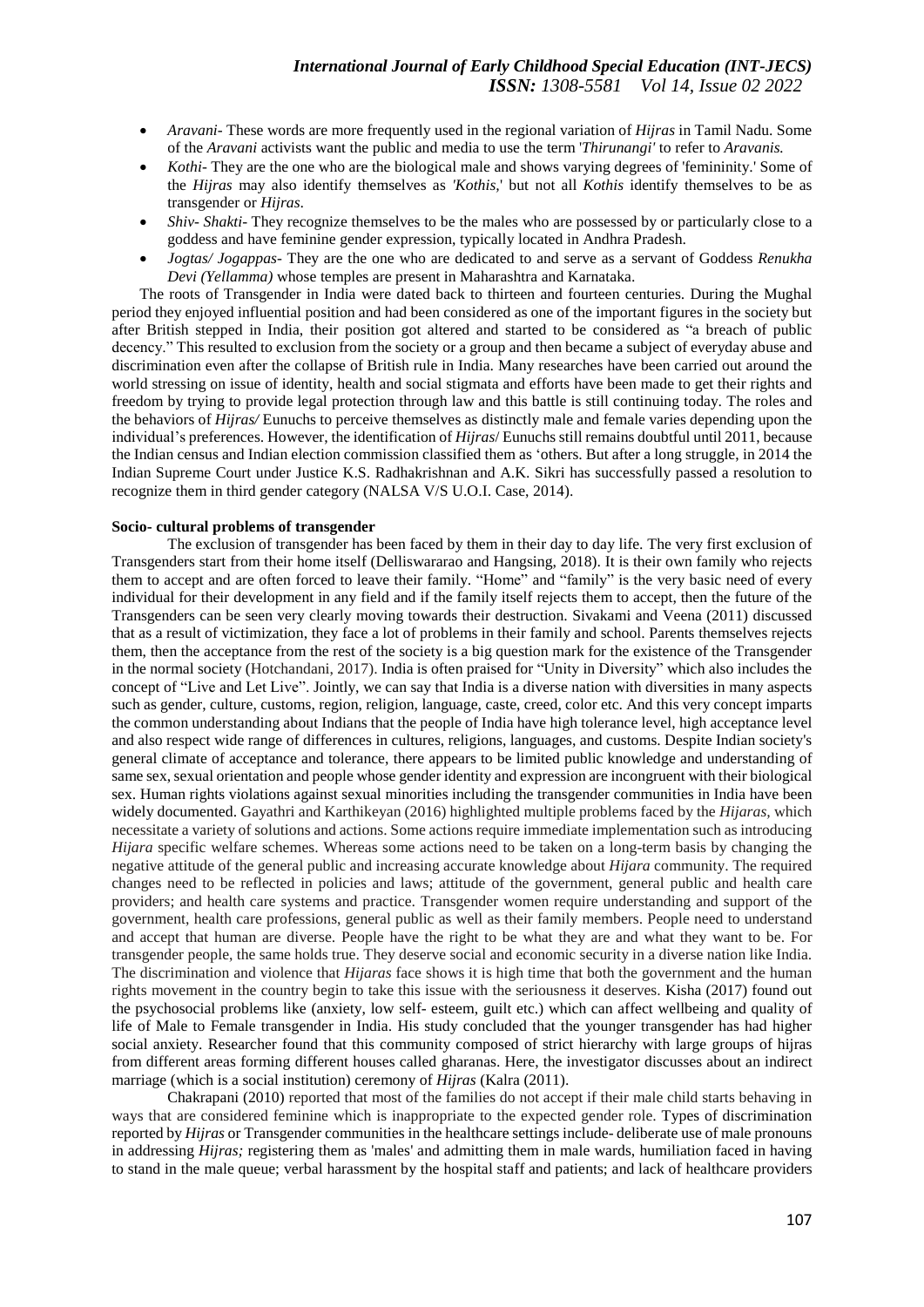# *International Journal of Early Childhood Special Education (INT-JECS) ISSN: 1308-5581 Vol 14, Issue 02 2022*

- *Aravani-* These words are more frequently used in the regional variation of *Hijras* in Tamil Nadu. Some of the *Aravani* activists want the public and media to use the term '*Thirunangi'* to refer to *Aravanis.*
- *Kothi* They are the one who are the biological male and shows varying degrees of 'femininity.' Some of the *Hijras* may also identify themselves as *'Kothis,*' but not all *Kothis* identify themselves to be as transgender or *Hijras*.
- *Shiv- Shakti* They recognize themselves to be the males who are possessed by or particularly close to a goddess and have feminine gender expression, typically located in Andhra Pradesh.
- *Jogtas/ Jogappas* They are the one who are dedicated to and serve as a servant of Goddess *Renukha Devi (Yellamma)* whose temples are present in Maharashtra and Karnataka.

The roots of Transgender in India were dated back to thirteen and fourteen centuries. During the Mughal period they enjoyed influential position and had been considered as one of the important figures in the society but after British stepped in India, their position got altered and started to be considered as "a breach of public decency." This resulted to exclusion from the society or a group and then became a subject of everyday abuse and discrimination even after the collapse of British rule in India. Many researches have been carried out around the world stressing on issue of identity, health and social stigmata and efforts have been made to get their rights and freedom by trying to provide legal protection through law and this battle is still continuing today. The roles and the behaviors of *Hijras/* Eunuchs to perceive themselves as distinctly male and female varies depending upon the individual's preferences. However, the identification of *Hijras*/ Eunuchs still remains doubtful until 2011, because the Indian census and Indian election commission classified them as 'others. But after a long struggle, in 2014 the Indian Supreme Court under Justice K.S. Radhakrishnan and A.K. Sikri has successfully passed a resolution to recognize them in third gender category (NALSA V/S U.O.I. Case, 2014).

## **Socio- cultural problems of transgender**

The exclusion of transgender has been faced by them in their day to day life. The very first exclusion of Transgenders start from their home itself (Delliswararao and Hangsing, 2018). It is their own family who rejects them to accept and are often forced to leave their family. "Home" and "family" is the very basic need of every individual for their development in any field and if the family itself rejects them to accept, then the future of the Transgenders can be seen very clearly moving towards their destruction. Sivakami and Veena (2011) discussed that as a result of victimization, they face a lot of problems in their family and school. Parents themselves rejects them, then the acceptance from the rest of the society is a big question mark for the existence of the Transgender in the normal society (Hotchandani, 2017). India is often praised for "Unity in Diversity" which also includes the concept of "Live and Let Live". Jointly, we can say that India is a diverse nation with diversities in many aspects such as gender, culture, customs, region, religion, language, caste, creed, color etc. And this very concept imparts the common understanding about Indians that the people of India have high tolerance level, high acceptance level and also respect wide range of differences in cultures, religions, languages, and customs. Despite Indian society's general climate of acceptance and tolerance, there appears to be limited public knowledge and understanding of same sex, sexual orientation and people whose gender identity and expression are incongruent with their biological sex. Human rights violations against sexual minorities including the transgender communities in India have been widely documented. Gayathri and Karthikeyan (2016) highlighted multiple problems faced by the *Hijaras,* which necessitate a variety of solutions and actions. Some actions require immediate implementation such as introducing *Hijara* specific welfare schemes. Whereas some actions need to be taken on a long-term basis by changing the negative attitude of the general public and increasing accurate knowledge about *Hijara* community. The required changes need to be reflected in policies and laws; attitude of the government, general public and health care providers; and health care systems and practice. Transgender women require understanding and support of the government, health care professions, general public as well as their family members. People need to understand and accept that human are diverse. People have the right to be what they are and what they want to be. For transgender people, the same holds true. They deserve social and economic security in a diverse nation like India. The discrimination and violence that *Hijaras* face shows it is high time that both the government and the human rights movement in the country begin to take this issue with the seriousness it deserves. Kisha (2017) found out the psychosocial problems like (anxiety, low self- esteem, guilt etc.) which can affect wellbeing and quality of life of Male to Female transgender in India. His study concluded that the younger transgender has had higher social anxiety. Researcher found that this community composed of strict hierarchy with large groups of hijras from different areas forming different houses called gharanas. Here, the investigator discusses about an indirect marriage (which is a social institution) ceremony of *Hijras* (Kalra (2011).

Chakrapani (2010) reported that most of the families do not accept if their male child starts behaving in ways that are considered feminine which is inappropriate to the expected gender role. Types of discrimination reported by *Hijras* or Transgender communities in the healthcare settings include- deliberate use of male pronouns in addressing *Hijras;* registering them as 'males' and admitting them in male wards, humiliation faced in having to stand in the male queue; verbal harassment by the hospital staff and patients; and lack of healthcare providers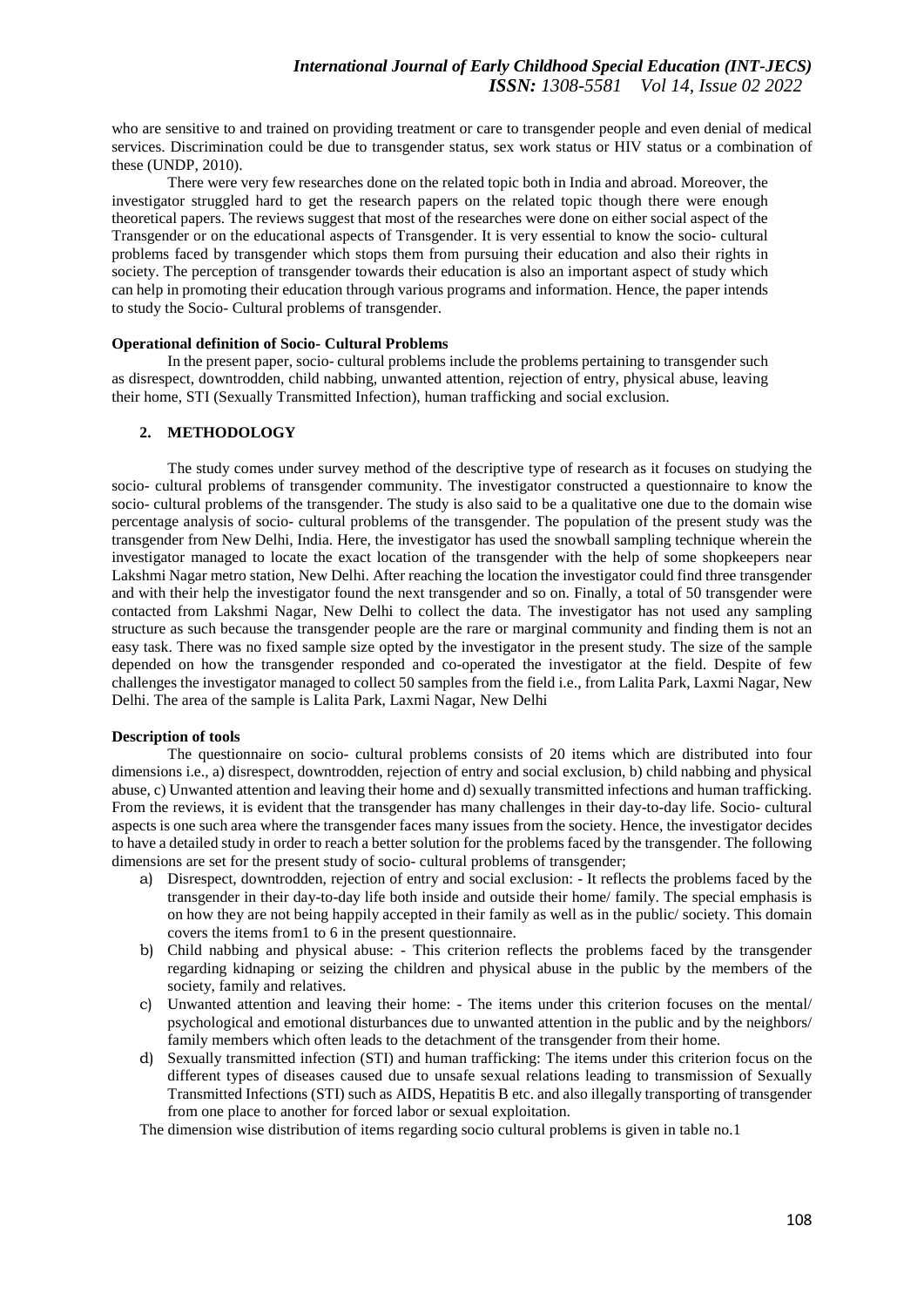who are sensitive to and trained on providing treatment or care to transgender people and even denial of medical services. Discrimination could be due to transgender status, sex work status or HIV status or a combination of these (UNDP, 2010).

There were very few researches done on the related topic both in India and abroad. Moreover, the investigator struggled hard to get the research papers on the related topic though there were enough theoretical papers. The reviews suggest that most of the researches were done on either social aspect of the Transgender or on the educational aspects of Transgender. It is very essential to know the socio- cultural problems faced by transgender which stops them from pursuing their education and also their rights in society. The perception of transgender towards their education is also an important aspect of study which can help in promoting their education through various programs and information. Hence, the paper intends to study the Socio- Cultural problems of transgender.

#### **Operational definition of Socio- Cultural Problems**

In the present paper, socio- cultural problems include the problems pertaining to transgender such as disrespect, downtrodden, child nabbing, unwanted attention, rejection of entry, physical abuse, leaving their home, STI (Sexually Transmitted Infection), human trafficking and social exclusion.

# **2. METHODOLOGY**

The study comes under survey method of the descriptive type of research as it focuses on studying the socio- cultural problems of transgender community. The investigator constructed a questionnaire to know the socio- cultural problems of the transgender. The study is also said to be a qualitative one due to the domain wise percentage analysis of socio- cultural problems of the transgender. The population of the present study was the transgender from New Delhi, India. Here, the investigator has used the snowball sampling technique wherein the investigator managed to locate the exact location of the transgender with the help of some shopkeepers near Lakshmi Nagar metro station, New Delhi. After reaching the location the investigator could find three transgender and with their help the investigator found the next transgender and so on. Finally, a total of 50 transgender were contacted from Lakshmi Nagar, New Delhi to collect the data. The investigator has not used any sampling structure as such because the transgender people are the rare or marginal community and finding them is not an easy task. There was no fixed sample size opted by the investigator in the present study. The size of the sample depended on how the transgender responded and co-operated the investigator at the field. Despite of few challenges the investigator managed to collect 50 samples from the field i.e., from Lalita Park, Laxmi Nagar, New Delhi. The area of the sample is Lalita Park, Laxmi Nagar, New Delhi

#### **Description of tools**

The questionnaire on socio- cultural problems consists of 20 items which are distributed into four dimensions i.e., a) disrespect, downtrodden, rejection of entry and social exclusion, b) child nabbing and physical abuse, c) Unwanted attention and leaving their home and d) sexually transmitted infections and human trafficking. From the reviews, it is evident that the transgender has many challenges in their day-to-day life. Socio- cultural aspects is one such area where the transgender faces many issues from the society. Hence, the investigator decides to have a detailed study in order to reach a better solution for the problems faced by the transgender. The following dimensions are set for the present study of socio- cultural problems of transgender;

- a) Disrespect, downtrodden, rejection of entry and social exclusion: It reflects the problems faced by the transgender in their day-to-day life both inside and outside their home/ family. The special emphasis is on how they are not being happily accepted in their family as well as in the public/ society. This domain covers the items from1 to 6 in the present questionnaire.
- b) Child nabbing and physical abuse: This criterion reflects the problems faced by the transgender regarding kidnaping or seizing the children and physical abuse in the public by the members of the society, family and relatives.
- c) Unwanted attention and leaving their home: The items under this criterion focuses on the mental/ psychological and emotional disturbances due to unwanted attention in the public and by the neighbors/ family members which often leads to the detachment of the transgender from their home.
- d) Sexually transmitted infection (STI) and human trafficking: The items under this criterion focus on the different types of diseases caused due to unsafe sexual relations leading to transmission of Sexually Transmitted Infections (STI) such as AIDS, Hepatitis B etc. and also illegally transporting of transgender from one place to another for forced labor or sexual exploitation.

The dimension wise distribution of items regarding socio cultural problems is given in table no.1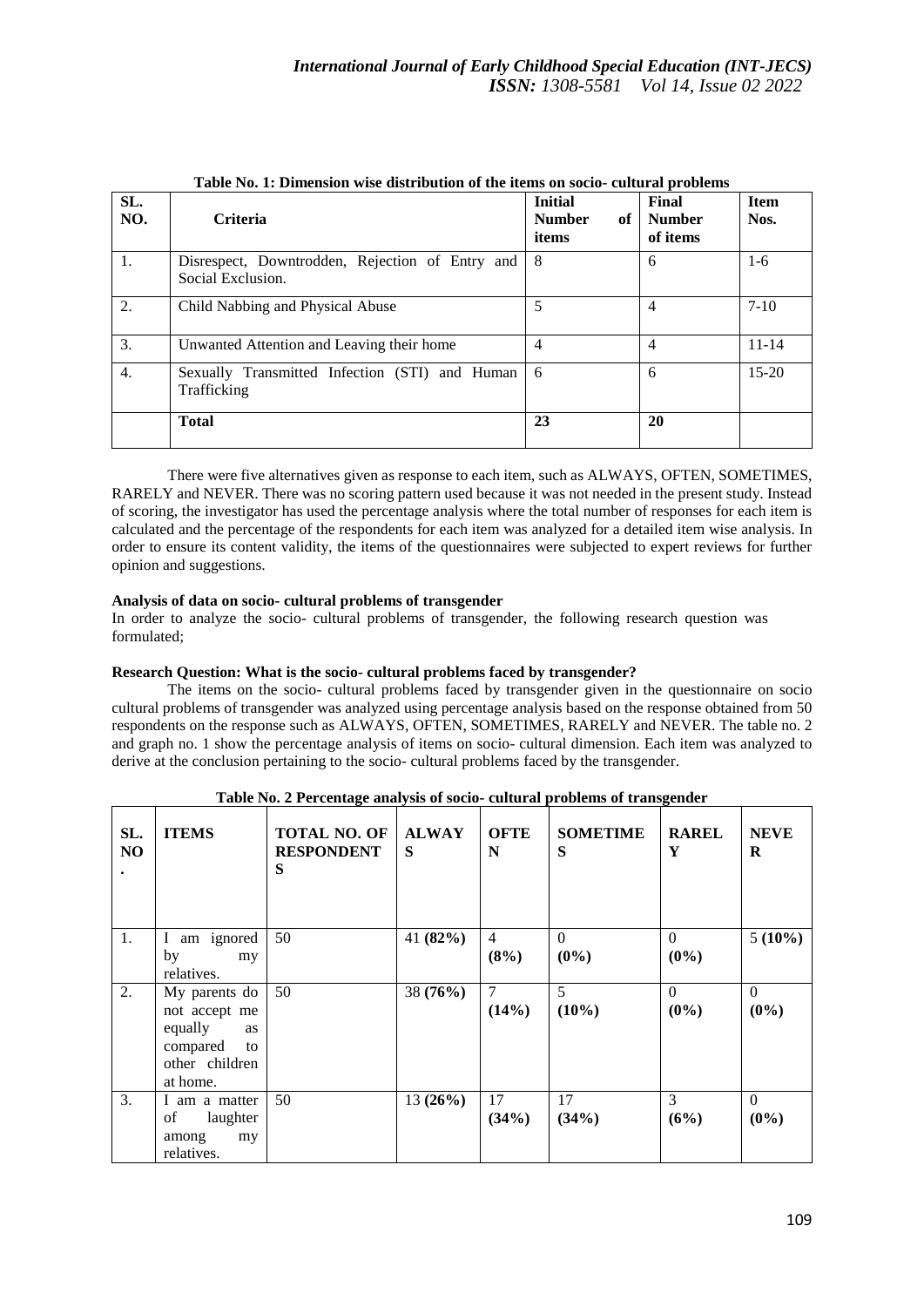| SL.<br>NO. | <b>Criteria</b>                                                      | <b>Initial</b><br><b>Number</b><br>of<br>items | Final<br><b>Number</b><br>of items | <b>Item</b><br>Nos. |
|------------|----------------------------------------------------------------------|------------------------------------------------|------------------------------------|---------------------|
| 1.         | Disrespect, Downtrodden, Rejection of Entry and<br>Social Exclusion. | 8                                              | 6                                  | $1-6$               |
| 2.         | Child Nabbing and Physical Abuse                                     | 5                                              | $\overline{4}$                     | $7-10$              |
| 3.         | Unwanted Attention and Leaving their home                            | 4                                              | $\overline{4}$                     | $11 - 14$           |
| 4.         | Sexually Transmitted Infection (STI) and Human<br>Trafficking        | 6                                              | 6                                  | $15 - 20$           |
|            | <b>Total</b>                                                         | 23                                             | 20                                 |                     |

**Table No. 1: Dimension wise distribution of the items on socio- cultural problems**

There were five alternatives given as response to each item, such as ALWAYS, OFTEN, SOMETIMES, RARELY and NEVER. There was no scoring pattern used because it was not needed in the present study. Instead of scoring, the investigator has used the percentage analysis where the total number of responses for each item is calculated and the percentage of the respondents for each item was analyzed for a detailed item wise analysis. In order to ensure its content validity, the items of the questionnaires were subjected to expert reviews for further opinion and suggestions.

## **Analysis of data on socio- cultural problems of transgender**

In order to analyze the socio- cultural problems of transgender, the following research question was formulated;

# **Research Question: What is the socio- cultural problems faced by transgender?**

The items on the socio- cultural problems faced by transgender given in the questionnaire on socio cultural problems of transgender was analyzed using percentage analysis based on the response obtained from 50 respondents on the response such as ALWAYS, OFTEN, SOMETIMES, RARELY and NEVER. The table no. 2 and graph no. 1 show the percentage analysis of items on socio- cultural dimension. Each item was analyzed to derive at the conclusion pertaining to the socio- cultural problems faced by the transgender.

| SL.<br>NO | <b>ITEMS</b>                                                                                    | <b>TOTAL NO. OF</b><br><b>RESPONDENT</b><br>S | <b>ALWAY</b><br>S | <b>OFTE</b><br>N | <b>SOMETIME</b><br>S | <b>RAREL</b><br>Y   | <b>NEVE</b><br>R    |
|-----------|-------------------------------------------------------------------------------------------------|-----------------------------------------------|-------------------|------------------|----------------------|---------------------|---------------------|
| 1.        | am ignored<br>$\mathbf{I}$                                                                      | 50                                            | 41 $(82%)$        | $\overline{4}$   | $\Omega$             | $\theta$            | $5(10\%)$           |
|           | by<br>my<br>relatives.                                                                          |                                               |                   | (8%)             | $(0\%)$              | $(0\%)$             |                     |
| 2.        | My parents do<br>not accept me<br>equally<br>as<br>compared<br>to<br>other children<br>at home. | 50                                            | 38 (76%)          | $\tau$<br>(14%)  | 5<br>$(10\%)$        | $\Omega$<br>$(0\%)$ | $\Omega$<br>$(0\%)$ |
| 3.        | I am a matter<br>laughter<br>of<br>my<br>among<br>relatives.                                    | 50                                            | 13(26%)           | 17<br>(34%)      | 17<br>(34%)          | 3<br>(6%)           | $\Omega$<br>$(0\%)$ |

**Table No. 2 Percentage analysis of socio- cultural problems of transgender**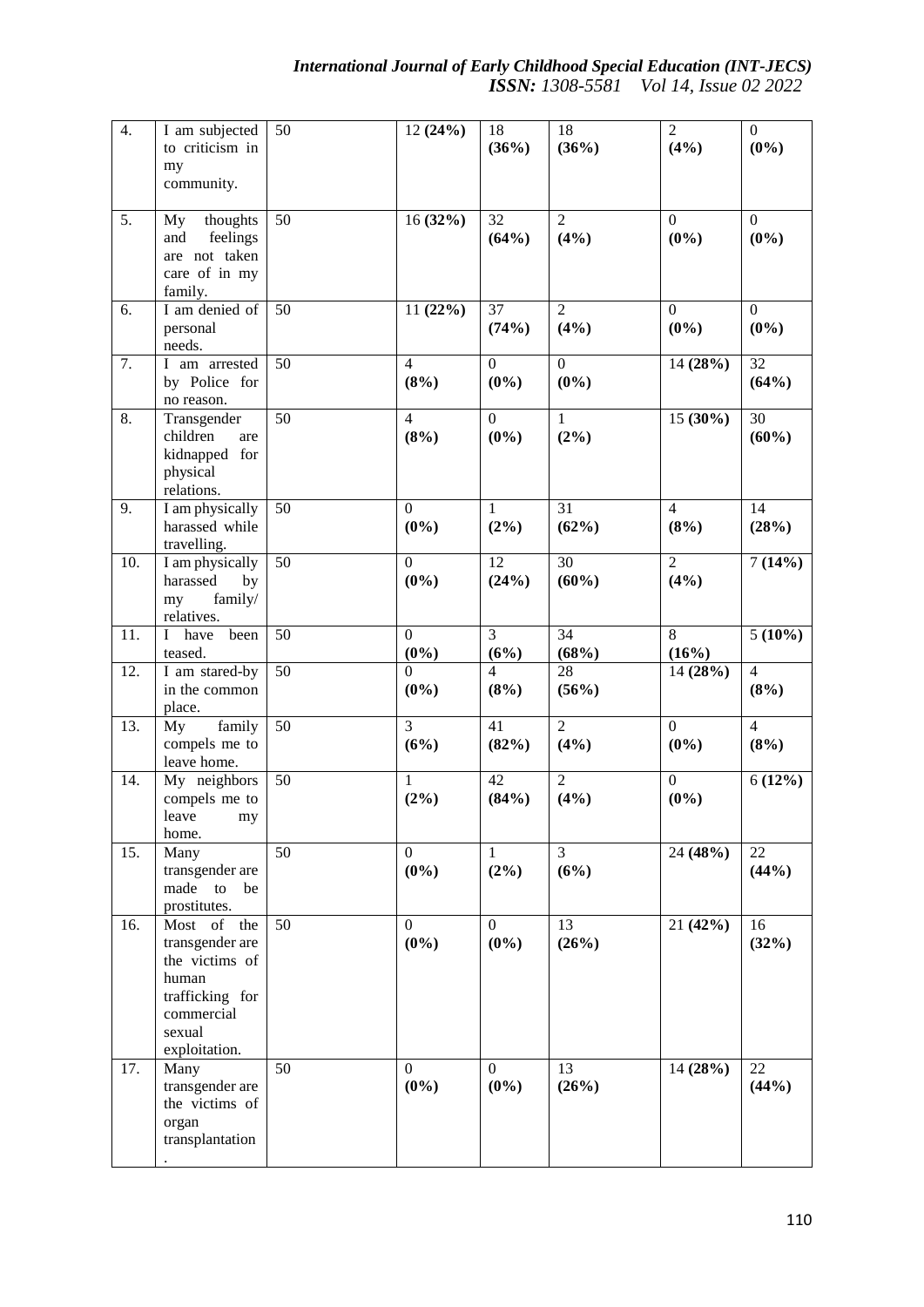| $\overline{4}$ . | I am subjected<br>to criticism in<br>my<br>community.                                                                 | 50              | 12(24%)                     | 18<br>(36%)               | 18<br>(36%)               | $\overline{2}$<br>(4%)      | $\boldsymbol{0}$<br>$(0\%)$ |
|------------------|-----------------------------------------------------------------------------------------------------------------------|-----------------|-----------------------------|---------------------------|---------------------------|-----------------------------|-----------------------------|
| $\overline{5}$ . | thoughts<br>My<br>feelings<br>and<br>are not taken<br>care of in my<br>family.                                        | 50              | 16(32%)                     | 32<br>(64%)               | $\overline{2}$<br>(4%)    | $\overline{0}$<br>$(0\%)$   | $\Omega$<br>$(0\%)$         |
| 6.               | I am denied of<br>personal<br>needs.                                                                                  | $\overline{50}$ | 11(22%)                     | $\overline{37}$<br>(74%)  | $\overline{2}$<br>(4%)    | $\overline{0}$<br>$(0\%)$   | $\overline{0}$<br>$(0\%)$   |
| 7.               | I am arrested<br>by Police for<br>no reason.                                                                          | 50              | $\overline{4}$<br>(8%)      | $\mathbf{0}$<br>$(0\%)$   | $\overline{0}$<br>$(0\%)$ | 14 (28%)                    | 32<br>(64%)                 |
| 8.               | Transgender<br>children<br>are<br>kidnapped for<br>physical<br>relations.                                             | 50              | $\overline{4}$<br>(8%)      | $\overline{0}$<br>$(0\%)$ | $\mathbf{1}$<br>(2%)      | $15(30\%)$                  | 30<br>$(60\%)$              |
| 9.               | I am physically<br>harassed while<br>travelling.                                                                      | 50              | $\mathbf{0}$<br>$(0\%)$     | 1<br>(2%)                 | 31<br>(62%)               | $\overline{4}$<br>(8%)      | 14<br>(28%)                 |
| 10.              | I am physically<br>harassed<br>by<br>family/<br>my<br>relatives.                                                      | $\overline{50}$ | $\boldsymbol{0}$<br>$(0\%)$ | 12<br>(24%)               | 30<br>$(60\%)$            | $\overline{2}$<br>(4%)      | 7(14%)                      |
| 11.              | I have<br>been<br>teased.                                                                                             | $\overline{50}$ | $\mathbf{0}$<br>$(0\%)$     | $\overline{3}$<br>(6%)    | 34<br>(68%)               | $\overline{8}$<br>(16%)     | $5(10\%)$                   |
| 12.              | I am stared-by<br>in the common<br>place.                                                                             | 50              | $\boldsymbol{0}$<br>$(0\%)$ | $\overline{4}$<br>(8%)    | 28<br>(56%)               | 14 (28%)                    | $\overline{4}$<br>(8%)      |
| 13.              | family<br>My<br>compels me to<br>leave home.                                                                          | $\overline{50}$ | 3<br>(6%)                   | 41<br>(82%)               | $\overline{2}$<br>(4%)    | $\overline{0}$<br>$(0\%)$   | $\overline{4}$<br>(8%)      |
| 14.              | My neighbors<br>compels me to<br>leave<br>my<br>home.                                                                 | 50              | 1<br>$(2\%)$                | 42<br>(84%)               | $\overline{2}$<br>(4%)    | $\boldsymbol{0}$<br>$(0\%)$ | 6(12%)                      |
| 15.              | Many<br>transgender are<br>made to be<br>prostitutes.                                                                 | 50              | $\boldsymbol{0}$<br>$(0\%)$ | $\mathbf{1}$<br>(2%)      | $\overline{3}$<br>(6%)    | 24 (48%)                    | 22<br>(44%)                 |
| 16.              | Most of the<br>transgender are<br>the victims of<br>human<br>trafficking for<br>commercial<br>sexual<br>exploitation. | 50              | $\overline{0}$<br>$(0\%)$   | $\overline{0}$<br>$(0\%)$ | 13<br>(26%)               | 21(42%)                     | 16<br>(32%)                 |
| 17.              | Many<br>transgender are<br>the victims of<br>organ<br>transplantation                                                 | 50              | $\boldsymbol{0}$<br>$(0\%)$ | $\mathbf{0}$<br>$(0\%)$   | 13<br>(26%)               | 14(28%)                     | 22<br>(44%)                 |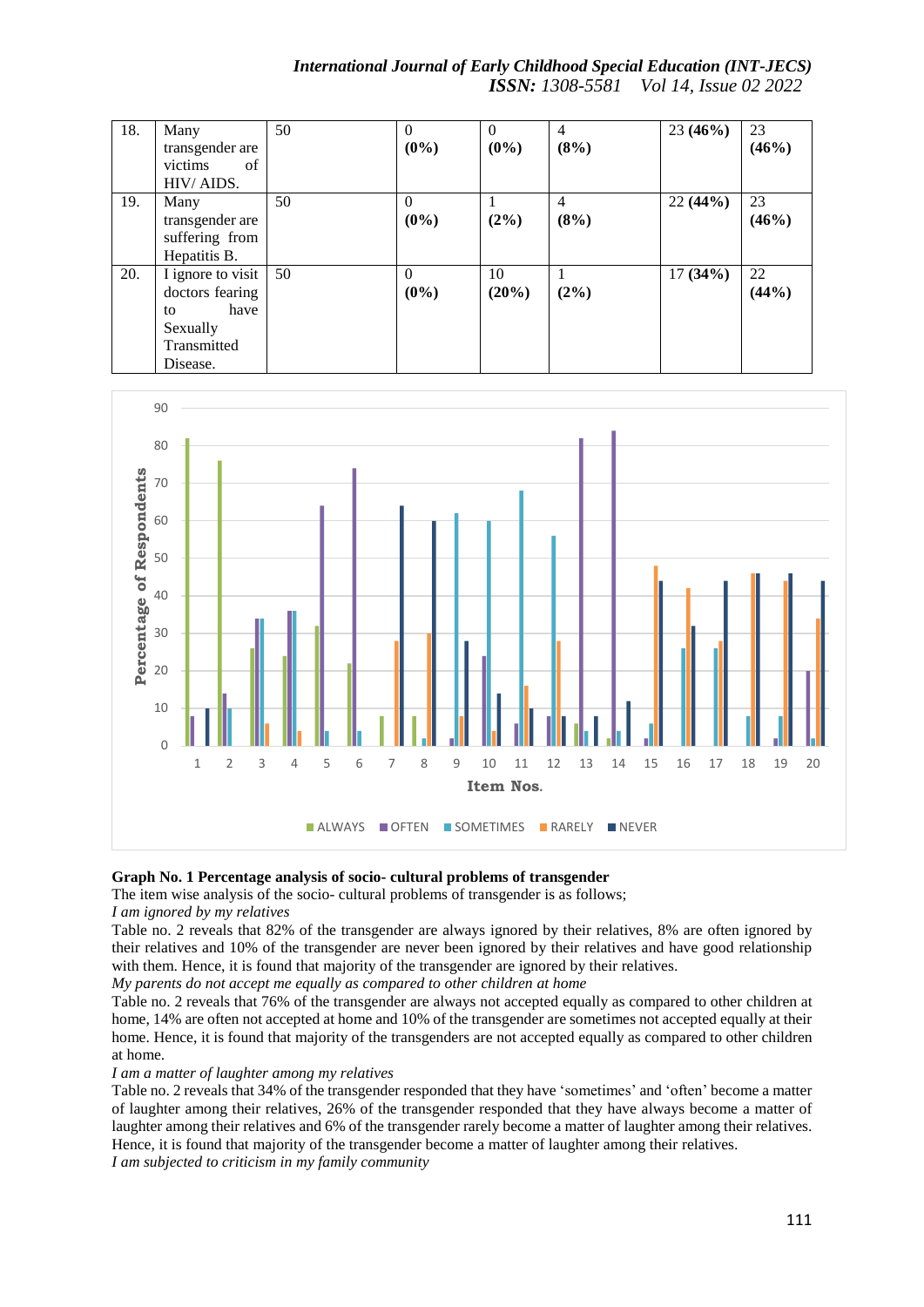| 18. | Many              | 50 | $\Omega$ | $\Omega$ | $\overline{4}$ | 23(46%) | 23    |
|-----|-------------------|----|----------|----------|----------------|---------|-------|
|     | transgender are   |    | $(0\%)$  | $(0\%)$  | (8%)           |         | (46%) |
|     | victims<br>of     |    |          |          |                |         |       |
|     | HIV/AIDS.         |    |          |          |                |         |       |
| 19. | Many              | 50 | $\Omega$ |          | 4              | 22(44%) | 23    |
|     | transgender are   |    | $(0\%)$  | $(2\%)$  | (8%)           |         | (46%) |
|     | suffering from    |    |          |          |                |         |       |
|     | Hepatitis B.      |    |          |          |                |         |       |
| 20. | I ignore to visit | 50 | $\Omega$ | 10       |                | 17(34%) | 22    |
|     | doctors fearing   |    | $(0\%)$  | (20%)    | (2%)           |         | (44%) |
|     | have<br>to        |    |          |          |                |         |       |
|     | Sexually          |    |          |          |                |         |       |
|     | Transmitted       |    |          |          |                |         |       |
|     | Disease.          |    |          |          |                |         |       |





## **Graph No. 1 Percentage analysis of socio- cultural problems of transgender**

The item wise analysis of the socio- cultural problems of transgender is as follows;

*I am ignored by my relatives* 

Table no. 2 reveals that 82% of the transgender are always ignored by their relatives, 8% are often ignored by their relatives and 10% of the transgender are never been ignored by their relatives and have good relationship with them. Hence, it is found that majority of the transgender are ignored by their relatives.

*My parents do not accept me equally as compared to other children at home*

Table no. 2 reveals that 76% of the transgender are always not accepted equally as compared to other children at home, 14% are often not accepted at home and 10% of the transgender are sometimes not accepted equally at their home. Hence, it is found that majority of the transgenders are not accepted equally as compared to other children at home.

*I am a matter of laughter among my relatives*

Table no. 2 reveals that 34% of the transgender responded that they have 'sometimes' and 'often' become a matter of laughter among their relatives, 26% of the transgender responded that they have always become a matter of laughter among their relatives and 6% of the transgender rarely become a matter of laughter among their relatives. Hence, it is found that majority of the transgender become a matter of laughter among their relatives. *I am subjected to criticism in my family community*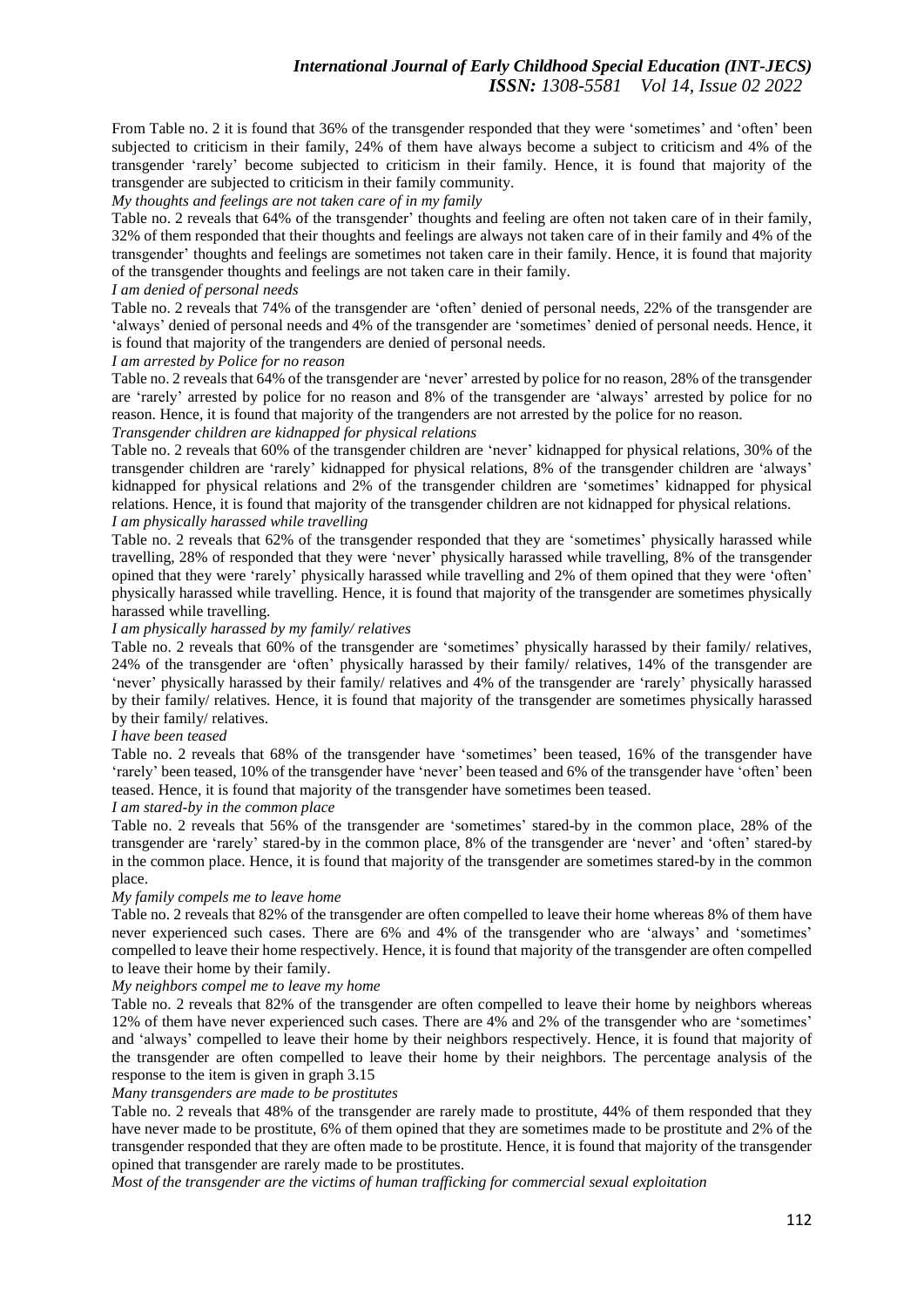# *International Journal of Early Childhood Special Education (INT-JECS) ISSN: 1308-5581 Vol 14, Issue 02 2022*

From Table no. 2 it is found that 36% of the transgender responded that they were 'sometimes' and 'often' been subjected to criticism in their family, 24% of them have always become a subject to criticism and 4% of the transgender 'rarely' become subjected to criticism in their family. Hence, it is found that majority of the transgender are subjected to criticism in their family community.

## *My thoughts and feelings are not taken care of in my family*

Table no. 2 reveals that 64% of the transgender' thoughts and feeling are often not taken care of in their family, 32% of them responded that their thoughts and feelings are always not taken care of in their family and 4% of the transgender' thoughts and feelings are sometimes not taken care in their family. Hence, it is found that majority of the transgender thoughts and feelings are not taken care in their family.

#### *I am denied of personal needs*

Table no. 2 reveals that 74% of the transgender are 'often' denied of personal needs, 22% of the transgender are 'always' denied of personal needs and 4% of the transgender are 'sometimes' denied of personal needs. Hence, it is found that majority of the trangenders are denied of personal needs.

#### *I am arrested by Police for no reason*

Table no. 2 reveals that 64% of the transgender are 'never' arrested by police for no reason, 28% of the transgender are 'rarely' arrested by police for no reason and 8% of the transgender are 'always' arrested by police for no reason. Hence, it is found that majority of the trangenders are not arrested by the police for no reason.

# *Transgender children are kidnapped for physical relations*

Table no. 2 reveals that 60% of the transgender children are 'never' kidnapped for physical relations, 30% of the transgender children are 'rarely' kidnapped for physical relations, 8% of the transgender children are 'always' kidnapped for physical relations and 2% of the transgender children are 'sometimes' kidnapped for physical relations. Hence, it is found that majority of the transgender children are not kidnapped for physical relations. *I am physically harassed while travelling*

Table no. 2 reveals that 62% of the transgender responded that they are 'sometimes' physically harassed while travelling, 28% of responded that they were 'never' physically harassed while travelling, 8% of the transgender opined that they were 'rarely' physically harassed while travelling and 2% of them opined that they were 'often' physically harassed while travelling. Hence, it is found that majority of the transgender are sometimes physically harassed while travelling.

## *I am physically harassed by my family/ relatives*

Table no. 2 reveals that 60% of the transgender are 'sometimes' physically harassed by their family/ relatives, 24% of the transgender are 'often' physically harassed by their family/ relatives, 14% of the transgender are 'never' physically harassed by their family/ relatives and 4% of the transgender are 'rarely' physically harassed by their family/ relatives. Hence, it is found that majority of the transgender are sometimes physically harassed by their family/ relatives.

#### *I have been teased*

Table no. 2 reveals that 68% of the transgender have 'sometimes' been teased, 16% of the transgender have 'rarely' been teased, 10% of the transgender have 'never' been teased and 6% of the transgender have 'often' been teased. Hence, it is found that majority of the transgender have sometimes been teased.

# *I am stared-by in the common place*

Table no. 2 reveals that 56% of the transgender are 'sometimes' stared-by in the common place, 28% of the transgender are 'rarely' stared-by in the common place, 8% of the transgender are 'never' and 'often' stared-by in the common place. Hence, it is found that majority of the transgender are sometimes stared-by in the common place.

#### *My family compels me to leave home*

Table no. 2 reveals that 82% of the transgender are often compelled to leave their home whereas 8% of them have never experienced such cases. There are 6% and 4% of the transgender who are 'always' and 'sometimes' compelled to leave their home respectively. Hence, it is found that majority of the transgender are often compelled to leave their home by their family.

## *My neighbors compel me to leave my home*

Table no. 2 reveals that 82% of the transgender are often compelled to leave their home by neighbors whereas 12% of them have never experienced such cases. There are 4% and 2% of the transgender who are 'sometimes' and 'always' compelled to leave their home by their neighbors respectively. Hence, it is found that majority of the transgender are often compelled to leave their home by their neighbors. The percentage analysis of the response to the item is given in graph 3.15

## *Many transgenders are made to be prostitutes*

Table no. 2 reveals that 48% of the transgender are rarely made to prostitute, 44% of them responded that they have never made to be prostitute, 6% of them opined that they are sometimes made to be prostitute and 2% of the transgender responded that they are often made to be prostitute. Hence, it is found that majority of the transgender opined that transgender are rarely made to be prostitutes.

*Most of the transgender are the victims of human trafficking for commercial sexual exploitation*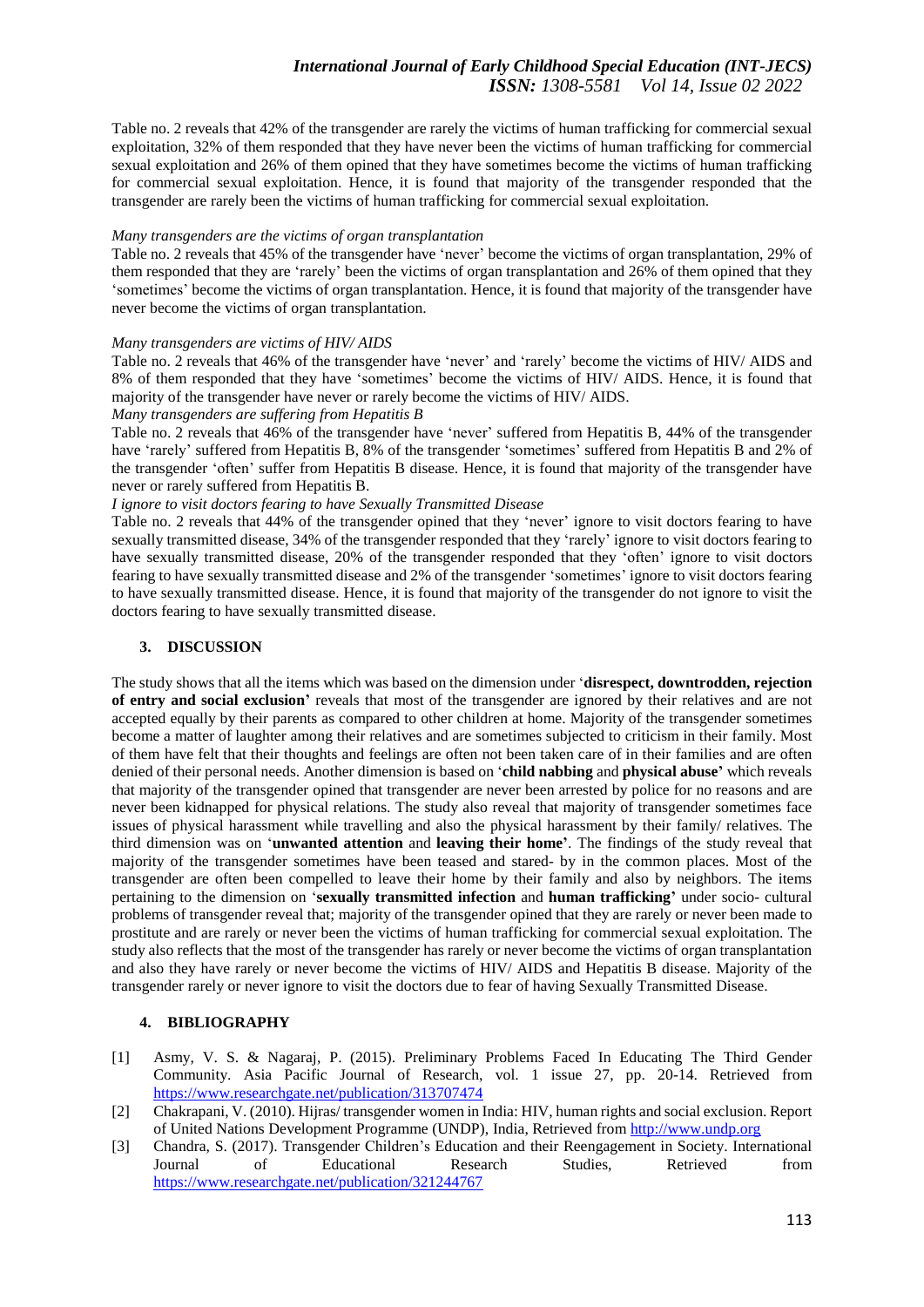# *International Journal of Early Childhood Special Education (INT-JECS) ISSN: 1308-5581 Vol 14, Issue 02 2022*

Table no. 2 reveals that 42% of the transgender are rarely the victims of human trafficking for commercial sexual exploitation, 32% of them responded that they have never been the victims of human trafficking for commercial sexual exploitation and 26% of them opined that they have sometimes become the victims of human trafficking for commercial sexual exploitation. Hence, it is found that majority of the transgender responded that the transgender are rarely been the victims of human trafficking for commercial sexual exploitation.

## *Many transgenders are the victims of organ transplantation*

Table no. 2 reveals that 45% of the transgender have 'never' become the victims of organ transplantation, 29% of them responded that they are 'rarely' been the victims of organ transplantation and 26% of them opined that they 'sometimes' become the victims of organ transplantation. Hence, it is found that majority of the transgender have never become the victims of organ transplantation.

#### *Many transgenders are victims of HIV/ AIDS*

Table no. 2 reveals that 46% of the transgender have 'never' and 'rarely' become the victims of HIV/ AIDS and 8% of them responded that they have 'sometimes' become the victims of HIV/ AIDS. Hence, it is found that majority of the transgender have never or rarely become the victims of HIV/ AIDS.

## *Many transgenders are suffering from Hepatitis B*

Table no. 2 reveals that 46% of the transgender have 'never' suffered from Hepatitis B, 44% of the transgender have 'rarely' suffered from Hepatitis B, 8% of the transgender 'sometimes' suffered from Hepatitis B and 2% of the transgender 'often' suffer from Hepatitis B disease. Hence, it is found that majority of the transgender have never or rarely suffered from Hepatitis B.

## *I ignore to visit doctors fearing to have Sexually Transmitted Disease*

Table no. 2 reveals that 44% of the transgender opined that they 'never' ignore to visit doctors fearing to have sexually transmitted disease, 34% of the transgender responded that they 'rarely' ignore to visit doctors fearing to have sexually transmitted disease, 20% of the transgender responded that they 'often' ignore to visit doctors fearing to have sexually transmitted disease and 2% of the transgender 'sometimes' ignore to visit doctors fearing to have sexually transmitted disease. Hence, it is found that majority of the transgender do not ignore to visit the doctors fearing to have sexually transmitted disease.

## **3. DISCUSSION**

The study shows that all the items which was based on the dimension under '**disrespect, downtrodden, rejection of entry and social exclusion'** reveals that most of the transgender are ignored by their relatives and are not accepted equally by their parents as compared to other children at home. Majority of the transgender sometimes become a matter of laughter among their relatives and are sometimes subjected to criticism in their family. Most of them have felt that their thoughts and feelings are often not been taken care of in their families and are often denied of their personal needs. Another dimension is based on '**child nabbing** and **physical abuse'** which reveals that majority of the transgender opined that transgender are never been arrested by police for no reasons and are never been kidnapped for physical relations. The study also reveal that majority of transgender sometimes face issues of physical harassment while travelling and also the physical harassment by their family/ relatives. The third dimension was on '**unwanted attention** and **leaving their home'**. The findings of the study reveal that majority of the transgender sometimes have been teased and stared- by in the common places. Most of the transgender are often been compelled to leave their home by their family and also by neighbors. The items pertaining to the dimension on '**sexually transmitted infection** and **human trafficking'** under socio- cultural problems of transgender reveal that; majority of the transgender opined that they are rarely or never been made to prostitute and are rarely or never been the victims of human trafficking for commercial sexual exploitation. The study also reflects that the most of the transgender has rarely or never become the victims of organ transplantation and also they have rarely or never become the victims of HIV/ AIDS and Hepatitis B disease. Majority of the transgender rarely or never ignore to visit the doctors due to fear of having Sexually Transmitted Disease.

#### **4. BIBLIOGRAPHY**

- [1] Asmy, V. S. & Nagaraj, P. (2015). Preliminary Problems Faced In Educating The Third Gender Community. Asia Pacific Journal of Research, vol. 1 issue 27, pp. 20-14. Retrieved from <https://www.researchgate.net/publication/313707474>
- [2] Chakrapani, V. (2010). Hijras/ transgender women in India: HIV, human rights and social exclusion. Report of United Nations Development Programme (UNDP), India, Retrieved from [http://www.undp.org](http://www.undp.org/)
- [3] Chandra, S. (2017). Transgender Children's Education and their Reengagement in Society. International Journal of Educational Research Studies, Retrieved from <https://www.researchgate.net/publication/321244767>